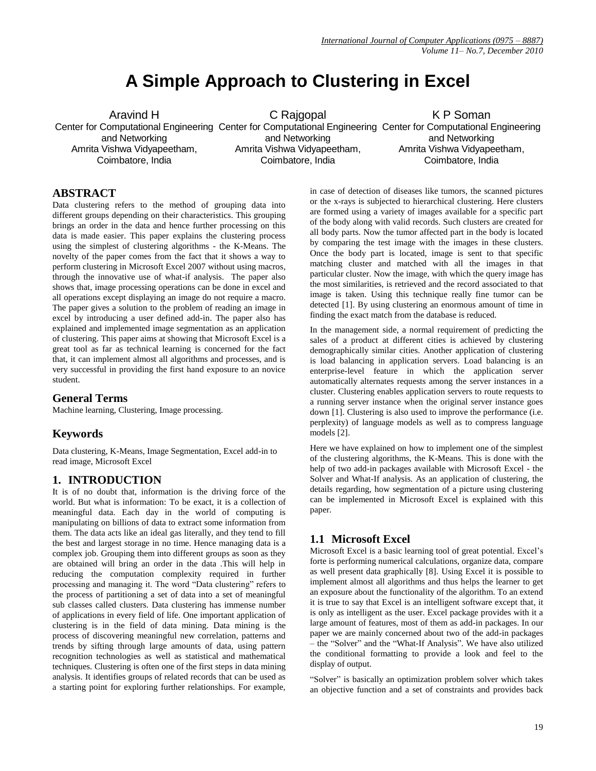# **A Simple Approach to Clustering in Excel**

Aravind H Center for Computational Engineering Center for Computational Engineering Center for Computational Engineering and Networking Amrita Vishwa Vidyapeetham, Coimbatore, India C Rajgopal and Networking Amrita Vishwa Vidyapeetham, Coimbatore, India K P Soman and Networking Amrita Vishwa Vidyapeetham, Coimbatore, India

## **ABSTRACT**

Data clustering refers to the method of grouping data into different groups depending on their characteristics. This grouping brings an order in the data and hence further processing on this data is made easier. This paper explains the clustering process using the simplest of clustering algorithms - the K-Means. The novelty of the paper comes from the fact that it shows a way to perform clustering in Microsoft Excel 2007 without using macros, through the innovative use of what-if analysis. The paper also shows that, image processing operations can be done in excel and all operations except displaying an image do not require a macro. The paper gives a solution to the problem of reading an image in excel by introducing a user defined add-in. The paper also has explained and implemented image segmentation as an application of clustering. This paper aims at showing that Microsoft Excel is a great tool as far as technical learning is concerned for the fact that, it can implement almost all algorithms and processes, and is very successful in providing the first hand exposure to an novice student.

## **General Terms**

Machine learning, Clustering, Image processing.

## **Keywords**

Data clustering, K-Means, Image Segmentation, Excel add-in to read image, Microsoft Excel

## **1. INTRODUCTION**

It is of no doubt that, information is the driving force of the world. But what is information: To be exact, it is a collection of meaningful data. Each day in the world of computing is manipulating on billions of data to extract some information from them. The data acts like an ideal gas literally, and they tend to fill the best and largest storage in no time. Hence managing data is a complex job. Grouping them into different groups as soon as they are obtained will bring an order in the data .This will help in reducing the computation complexity required in further processing and managing it. The word "Data clustering" refers to the process of partitioning a set of data into a set of meaningful sub classes called clusters. Data clustering has immense number of applications in every field of life. One important application of clustering is in the field of data mining. Data mining is the process of discovering meaningful new correlation, patterns and trends by sifting through large amounts of data, using pattern recognition technologies as well as statistical and mathematical techniques. Clustering is often one of the first steps in data mining analysis. It identifies groups of related records that can be used as a starting point for exploring further relationships. For example, in case of detection of diseases like tumors, the scanned pictures or the x-rays is subjected to hierarchical clustering. Here clusters are formed using a variety of images available for a specific part of the body along with valid records. Such clusters are created for all body parts. Now the tumor affected part in the body is located by comparing the test image with the images in these clusters. Once the body part is located, image is sent to that specific matching cluster and matched with all the images in that particular cluster. Now the image, with which the query image has the most similarities, is retrieved and the record associated to that image is taken. Using this technique really fine tumor can be detected [1]. By using clustering an enormous amount of time in finding the exact match from the database is reduced.

In the management side, a normal requirement of predicting the sales of a product at different cities is achieved by clustering demographically similar cities. Another application of clustering is load balancing in application servers. Load balancing is an enterprise-level feature in which the application server automatically alternates requests among the server instances in a cluster. Clustering enables application servers to route requests to a running server instance when the original server instance goes down [1]. Clustering is also used to improve the performance (i.e. perplexity) of language models as well as to compress language models [2].

Here we have explained on how to implement one of the simplest of the clustering algorithms, the K-Means. This is done with the help of two add-in packages available with Microsoft Excel - the Solver and What-If analysis. As an application of clustering, the details regarding, how segmentation of a picture using clustering can be implemented in Microsoft Excel is explained with this paper.

## **1.1 Microsoft Excel**

Microsoft Excel is a basic learning tool of great potential. Excel"s forte is performing numerical calculations, organize data, compare as well present data graphically [8]. Using Excel it is possible to implement almost all algorithms and thus helps the learner to get an exposure about the functionality of the algorithm. To an extend it is true to say that Excel is an intelligent software except that, it is only as intelligent as the user. Excel package provides with it a large amount of features, most of them as add-in packages. In our paper we are mainly concerned about two of the add-in packages – the "Solver" and the "What-If Analysis". We have also utilized the conditional formatting to provide a look and feel to the display of output.

"Solver" is basically an optimization problem solver which takes an objective function and a set of constraints and provides back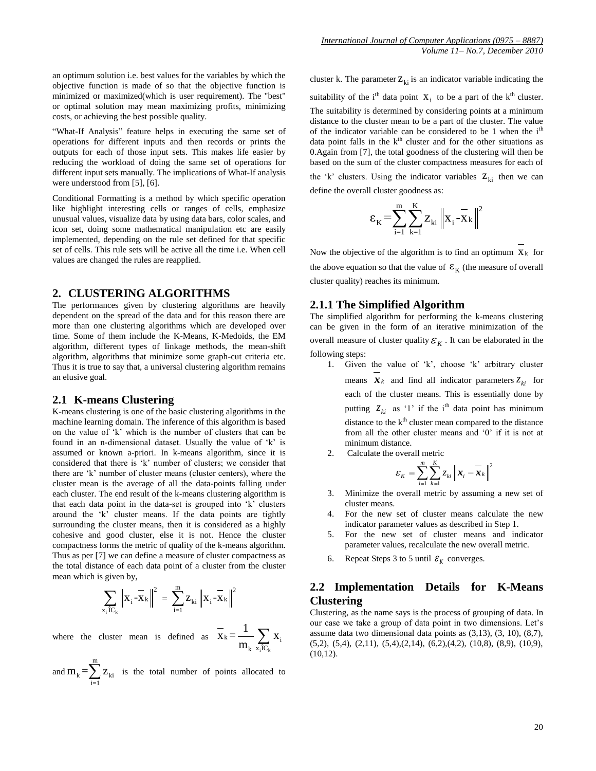an optimum solution i.e. best values for the variables by which the objective function is made of so that the objective function is minimized or maximized(which is user requirement). The "best" or optimal solution may mean maximizing profits, minimizing costs, or achieving the best possible quality.

"What-If Analysis" feature helps in executing the same set of operations for different inputs and then records or prints the outputs for each of those input sets. This makes life easier by reducing the workload of doing the same set of operations for different input sets manually. The implications of What-If analysis were understood from [5], [6].

Conditional Formatting is a method by which specific operation like highlight interesting cells or ranges of cells, emphasize unusual values, visualize data by using data bars, color scales, and icon set, doing some mathematical manipulation etc are easily implemented, depending on the rule set defined for that specific set of cells. This rule sets will be active all the time i.e. When cell values are changed the rules are reapplied.

## **2. CLUSTERING ALGORITHMS**

The performances given by clustering algorithms are heavily dependent on the spread of the data and for this reason there are more than one clustering algorithms which are developed over time. Some of them include the K-Means, K-Medoids, the EM algorithm, different types of linkage methods, the mean-shift algorithm, algorithms that minimize some graph-cut criteria etc. Thus it is true to say that, a universal clustering algorithm remains an elusive goal.

### **2.1 K-means Clustering**

K-means clustering is one of the basic clustering algorithms in the machine learning domain. The inference of this algorithm is based on the value of "k" which is the number of clusters that can be found in an n-dimensional dataset. Usually the value of 'k' is assumed or known a-priori. In k-means algorithm, since it is considered that there is "k" number of clusters; we consider that there are "k" number of cluster means (cluster centers), where the cluster mean is the average of all the data-points falling under each cluster. The end result of the k-means clustering algorithm is that each data point in the data-set is grouped into "k" clusters around the "k" cluster means. If the data points are tightly surrounding the cluster means, then it is considered as a highly cohesive and good cluster, else it is not. Hence the cluster compactness forms the metric of quality of the k-means algorithm. Thus as per [7] we can define a measure of cluster compactness as the total distance of each data point of a cluster from the cluster mean which is given by,

$$
\sum_{x_i \hat{I} C_k} \left\| x_i - \overline{x}_k \right\|^2 \, = \, \sum_{i=1}^m z_{ki} \left\| x_i - \overline{x}_k \right\|^2
$$

where the cluster mean is defined as  $i^{\mathbf{R}}$  $k = \frac{1}{n} \sum_{i=1}^{n} X_i$  $k$   $x_i$ ÎC  $\bar{x}_k = \frac{1}{k} \sum_{k=1}^{k} x_k$ m

and m k  $^{-}$   $\angle$   $^{\prime}$  ki  $i=1$  $m_k = \sum_{k=1}^{k} Z_{ki}$  is the total number of points allocated to cluster k. The parameter  $Z_{ki}$  is an indicator variable indicating the

suitability of the i<sup>th</sup> data point  $X_i$  to be a part of the k<sup>th</sup> cluster. The suitability is determined by considering points at a minimum distance to the cluster mean to be a part of the cluster. The value of the indicator variable can be considered to be 1 when the  $i<sup>th</sup>$ data point falls in the  $k<sup>th</sup>$  cluster and for the other situations as 0.Again from [7], the total goodness of the clustering will then be based on the sum of the cluster compactness measures for each of the 'k' clusters. Using the indicator variables  $Z_{ki}$  then we can define the overall cluster goodness as:

$$
\epsilon_{\mathrm{K}}\!=\!\!\sum_{i=1}^{m}\sum_{k=1}^{K}z_{ki}\left\Vert x_{i}\!-\!\!\overline{x}_{k}\right\Vert ^{2}
$$

Now the objective of the algorithm is to find an optimum  $X_k$  for the above equation so that the value of  $\epsilon_{\rm K}$  (the measure of overall cluster quality) reaches its minimum.

## **2.1.1 The Simplified Algorithm**

The simplified algorithm for performing the k-means clustering can be given in the form of an iterative minimization of the overall measure of cluster quality  $\mathcal{E}_K$ . It can be elaborated in the following steps:

- 1. Given the value of "k", choose "k" arbitrary cluster means  $\mathbf{x}_k$  and find all indicator parameters  $z_{ki}$  for each of the cluster means. This is essentially done by putting  $Z_{ki}$  as '1' if the i<sup>th</sup> data point has minimum distance to the  $k<sup>th</sup>$  cluster mean compared to the distance from all the other cluster means and "0" if it is not at minimum distance.
- 2. Calculate the overall metric

$$
\varepsilon_{K} = \sum_{i=1}^{m} \sum_{k=1}^{K} z_{ki} \left\| \mathbf{x}_{i} - \mathbf{x}_{k} \right\|^{2}
$$

- 3. Minimize the overall metric by assuming a new set of cluster means.
- 4. For the new set of cluster means calculate the new indicator parameter values as described in Step 1.
- 5. For the new set of cluster means and indicator parameter values, recalculate the new overall metric.
- 6. Repeat Steps 3 to 5 until  $\mathcal{E}_K$  converges.

# **2.2 Implementation Details for K-Means Clustering**

Clustering, as the name says is the process of grouping of data. In our case we take a group of data point in two dimensions. Let's assume data two dimensional data points as (3,13), (3, 10), (8,7), (5,2), (5,4), (2,11), (5,4),(2,14), (6,2),(4,2), (10,8), (8,9), (10,9), (10,12).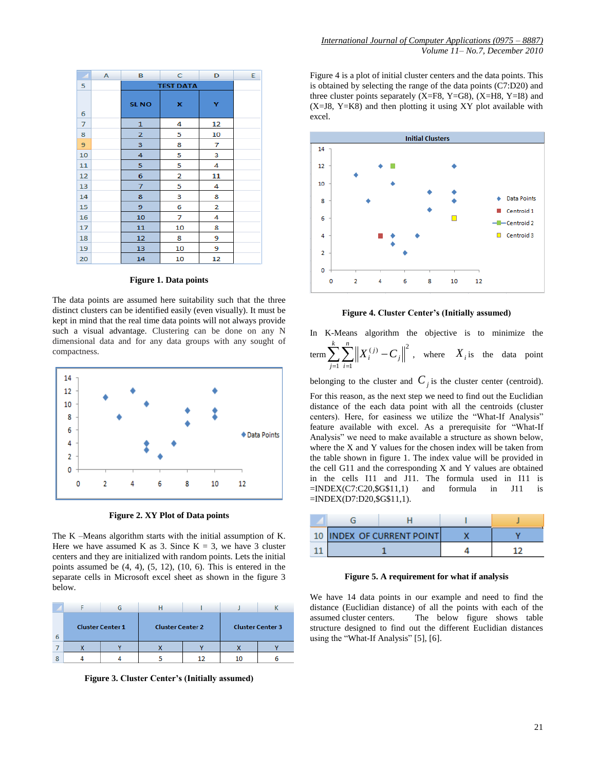|                | А | в              | c                | D              | Е |
|----------------|---|----------------|------------------|----------------|---|
| 5              |   |                | <b>TEST DATA</b> |                |   |
| 6              |   | <b>SL NO</b>   | x                | Y              |   |
| $\overline{7}$ |   | $\mathbf{1}$   | 4                | 12             |   |
| 8              |   | $\overline{2}$ | 5                | 10             |   |
| 9              |   | з              | 8                | 7              |   |
| 10             |   | 4              | 5                | 3              |   |
| 11             |   | 5              | 5                | 4              |   |
| 12             |   | 6              | 2                | 11             |   |
| 13             |   | 7              | 5                | 4              |   |
| 14             |   | 8              | з                | 8              |   |
| 15             |   | 9              | 6                | $\overline{2}$ |   |
| 16             |   | 10             | 7                | 4              |   |
| 17             |   | 11             | 10               | 8              |   |
| 18             |   | 12             | 8                | 9              |   |
| 19             |   | 13             | 10               | 9              |   |
| 20             |   | 14             | 10               | 12             |   |

#### **Figure 1. Data points**

The data points are assumed here suitability such that the three distinct clusters can be identified easily (even visually). It must be kept in mind that the real time data points will not always provide such a visual advantage. Clustering can be done on any N dimensional data and for any data groups with any sought of compactness.



**Figure 2. XY Plot of Data points**

The K –Means algorithm starts with the initial assumption of K. Here we have assumed K as 3. Since  $K = 3$ , we have 3 cluster centers and they are initialized with random points. Lets the initial points assumed be  $(4, 4)$ ,  $(5, 12)$ ,  $(10, 6)$ . This is entered in the separate cells in Microsoft excel sheet as shown in the figure 3 below.

| 6 | <b>Cluster Center 1</b> |  | <b>Cluster Center 2</b> | <b>Cluster Center 3</b> |  |  |
|---|-------------------------|--|-------------------------|-------------------------|--|--|
|   |                         |  |                         |                         |  |  |
| 8 |                         |  |                         |                         |  |  |

**Figure 3. Cluster Center's (Initially assumed)**

Figure 4 is a plot of initial cluster centers and the data points. This is obtained by selecting the range of the data points (C7:D20) and three cluster points separately  $(X=F8, Y=G8)$ ,  $(X=H8, Y=I8)$  and  $(X=J8, Y=K8)$  and then plotting it using XY plot available with excel.



#### **Figure 4. Cluster Center's (Initially assumed)**

In K-Means algorithm the objective is to minimize the term  $\sum_{i=1}^{k} \sum_{j=1}^{n} ||X_{i}^{(j)} - C_{j}||^{2}$  $\overline{i}$   $\overline{i}$  $\sum_{i=1}^{k} \sum_{j=1}^{n} \left\| X_i^{(j)} - C_j \right\|$  $\overline{j=1}$  *i*  $X_i^{(j)} - C_j \Big|^2$ , where  $X_i$  is the data point

belonging to the cluster and  $C_j$  is the cluster center (centroid). For this reason, as the next step we need to find out the Euclidian distance of the each data point with all the centroids (cluster centers). Here, for easiness we utilize the "What-If Analysis" feature available with excel. As a prerequisite for "What-If Analysis" we need to make available a structure as shown below, where the X and Y values for the chosen index will be taken from the table shown in figure 1. The index value will be provided in the cell G11 and the corresponding X and Y values are obtained in the cells I11 and J11. The formula used in I11 is  $=$ INDEX(C7:C20, $$$ G $$$ 11,1) and formula in J11 is =INDEX(D7:D20,\$G\$11,1).

|  | 10 <b>INDEX OF CURRENT POINT</b> |  |
|--|----------------------------------|--|
|  |                                  |  |

#### **Figure 5. A requirement for what if analysis**

We have 14 data points in our example and need to find the distance (Euclidian distance) of all the points with each of the assumed cluster centers. The below figure shows table structure designed to find out the different Euclidian distances using the "What-If Analysis" [5], [6].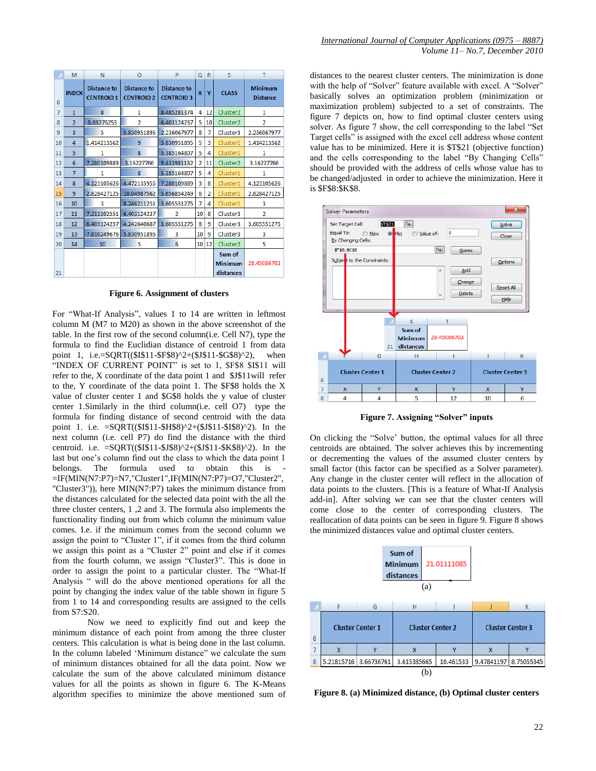|                | M              | N                                | O                                | P                                      | O              | $\mathsf{R}$   | s                                     | т                                 |
|----------------|----------------|----------------------------------|----------------------------------|----------------------------------------|----------------|----------------|---------------------------------------|-----------------------------------|
| 6              | <b>INDEX</b>   | Distance to<br><b>CENTROID 1</b> | Distance to<br><b>CENTROID 2</b> | <b>Distance to</b><br><b>CENTROID3</b> | X              | Ÿ              | <b>CLASS</b>                          | <b>Minimum</b><br><b>Distance</b> |
| $\overline{7}$ | $\mathbf{1}$   | 8                                | 1                                | 8.485281374                            | 4              | 12             | Cluster <sub>2</sub>                  | 1                                 |
| 8              | $\overline{2}$ | 6.08276253                       | 2                                | 6.403124237                            | 5              | 10             | Cluster <sub>2</sub>                  | $\overline{2}$                    |
| 9              | 3              | 5                                | 5.830951895                      | 2.236067977                            | 8              | 7              | Cluster3                              | 2.236067977                       |
| 10             | 4              | 1.414213562                      | 9                                | 5.830951895                            | 5              | 3              | Cluster1                              | 1.414213562                       |
| 11             | 5              | 1                                | 8                                | 5.385164807                            | 5              | 4              | Cluster1                              | 1                                 |
| 12             | 6              | 7.280109889                      | 3.16227766                       | 9.433981132                            | $\overline{2}$ | 11             | Cluster <sub>2</sub>                  | 3.16227766                        |
| 13             | $\overline{7}$ | 1                                | 8                                | 5.385164807                            | 5              | 4              | Cluster1                              | 1                                 |
| 14             | 8              | 4.123105626                      | 4.472135955                      | 7.280109889                            | 3              | 8              | Cluster1                              | 4.123105626                       |
| 15             | 9              | 2.828427125                      | 10.04987562                      | 5.656854249                            | 6              | $\overline{2}$ | Cluster1                              | 2.828427125                       |
| 16             | 10             | 3                                | 8.246211251                      | 3.605551275                            | 7              | 4              | Cluster1                              | 3                                 |
| 17             | 11             | 7.211102551                      | 6.403124237                      | $\overline{2}$                         | 10             | 8              | Cluster3                              | $\overline{2}$                    |
| 18             | 12             | 6.403124237                      | 4.242640687                      | 3.605551275                            | 8              | 9              | Cluster3                              | 3.605551275                       |
| 19             | 13             | 7.810249676                      | 5.830951895                      | 3                                      | 10             | 9              | Cluster3                              | 3                                 |
| 20             | 14             | 10                               | 5                                | 6                                      | 10             | 12             | Cluster <sub>2</sub>                  | 5                                 |
| 21             |                |                                  |                                  |                                        |                |                | Sum of<br><b>Minimum</b><br>distances | 28.45086702                       |

#### **Figure 6. Assignment of clusters**

For "What-If Analysis", values 1 to 14 are written in leftmost column M (M7 to M20) as shown in the above screenshot of the table. In the first row of the second column(i.e. Cell N7), type the formula to find the Euclidian distance of centroid 1 from data point 1, i.e.=SQRT((\$I\$11-\$F\$8)^2+(\$J\$11-\$G\$8)^2), when "INDEX OF CURRENT POINT" is set to 1, \$F\$8 \$I\$11 will refer to the, X coordinate of the data point 1 and \$J\$11will refer to the, Y coordinate of the data point 1. The \$F\$8 holds the X value of cluster center 1 and \$G\$8 holds the y value of cluster center 1.Similarly in the third column(i.e. cell O7) type the formula for finding distance of second centroid with the data point 1. i.e. =SQRT((\$I\$11-\$H\$8)^2+(\$J\$11-\$I\$8)^2). In the next column (i.e. cell P7) do find the distance with the third centroid. i.e.  $=$  SORT $((\$1\$11-$J\$8)^2+({\$1\$11-$K\$8})^2$ ). In the last but one's column find out the class to which the data point 1 belongs. The formula used to obtain this is =IF(MIN(N7:P7)=N7,"Cluster1",IF(MIN(N7:P7)=O7,"Cluster2", "Cluster3")), here MIN(N7:P7) takes the minimum distance from the distances calculated for the selected data point with the all the three cluster centers, 1 ,2 and 3. The formula also implements the functionality finding out from which column the minimum value comes. I.e. if the minimum comes from the second column we assign the point to "Cluster 1", if it comes from the third column we assign this point as a "Cluster 2" point and else if it comes from the fourth column, we assign "Cluster3". This is done in order to assign the point to a particular cluster. The "What-If Analysis " will do the above mentioned operations for all the point by changing the index value of the table shown in figure 5 from 1 to 14 and corresponding results are assigned to the cells from S7:S20.

Now we need to explicitly find out and keep the minimum distance of each point from among the three cluster centers. This calculation is what is being done in the last column. In the column labeled "Minimum distance" we calculate the sum of minimum distances obtained for all the data point. Now we calculate the sum of the above calculated minimum distance values for all the points as shown in figure 6. The K-Means algorithm specifies to minimize the above mentioned sum of distances to the nearest cluster centers. The minimization is done with the help of "Solver" feature available with excel. A "Solver" basically solves an optimization problem (minimization or maximization problem) subjected to a set of constraints. The figure 7 depicts on, how to find optimal cluster centers using solver. As figure 7 show, the cell corresponding to the label "Set Target cells" is assigned with the excel cell address whose content value has to be minimized. Here it is \$T\$21 (objective function) and the cells corresponding to the label "By Changing Cells" should be provided with the address of cells whose value has to be changed/adjusted in order to achieve the minimization. Here it is \$F\$8:\$K\$8.



**Figure 7. Assigning "Solver" inputs**

On clicking the "Solve" button, the optimal values for all three centroids are obtained. The solver achieves this by incrementing or decrementing the values of the assumed cluster centers by small factor (this factor can be specified as a Solver parameter). Any change in the cluster center will reflect in the allocation of data points to the clusters. [This is a feature of What-If Analysis add-in]. After solving we can see that the cluster centers will come close to the center of corresponding clusters. The reallocation of data points can be seen in figure 9. Figure 8 shows the minimized distances value and optimal cluster centers.

|                 |   |                         | Sum of<br><b>Minimum</b><br>distances | (a) | 21.01111085             |                         |                       |
|-----------------|---|-------------------------|---------------------------------------|-----|-------------------------|-------------------------|-----------------------|
|                 |   | G                       | н                                     |     |                         |                         | к                     |
| $6\phantom{1}6$ |   | <b>Cluster Center 1</b> |                                       |     | <b>Cluster Center 2</b> | <b>Cluster Center 3</b> |                       |
| 7               | X | v                       | x                                     |     |                         | x                       |                       |
| 8               |   | 5.21815716 3.66736761   | 3.615385665                           |     | 10.461533               |                         | 9.47841197 8.75055345 |
|                 |   |                         |                                       | (b) |                         |                         |                       |

**Figure 8. (a) Minimized distance, (b) Optimal cluster centers**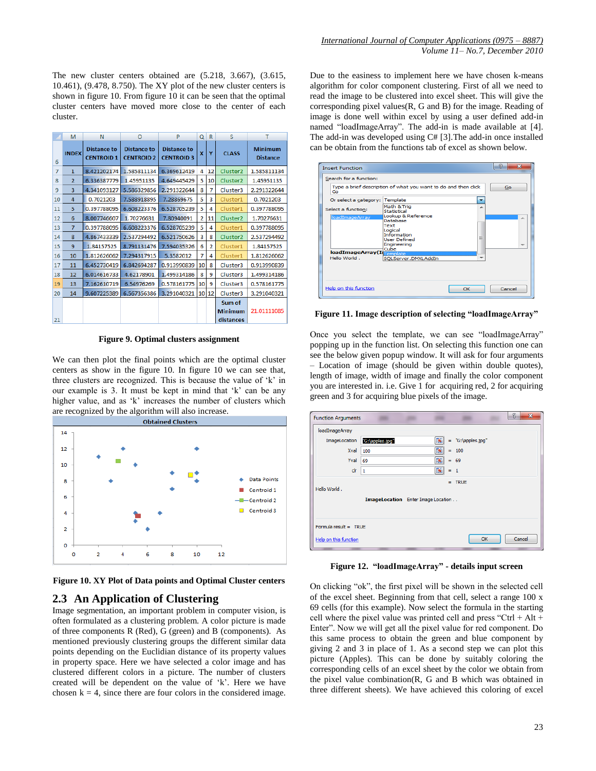The new cluster centers obtained are (5.218, 3.667), (3.615, 10.461), (9.478, 8.750). The XY plot of the new cluster centers is shown in figure 10. From figure 10 it can be seen that the optimal cluster centers have moved more close to the center of each cluster.

|    | M              | N                                      | $\circ$                                 | P                                      | O              | $\mathsf R$    | S                                     | т                                 |
|----|----------------|----------------------------------------|-----------------------------------------|----------------------------------------|----------------|----------------|---------------------------------------|-----------------------------------|
| 6  | <b>INDEX</b>   | <b>Distance to</b><br><b>CENTROID1</b> | <b>Distance to</b><br><b>CENTROID 2</b> | <b>Distance to</b><br><b>CENTROID3</b> | $\mathbf x$    | Y              | <b>CLASS</b>                          | <b>Minimum</b><br><b>Distance</b> |
| 7  | 1              | 8.421202174                            | 1.585811134                             | 6.369612419                            | 4              | 12             | Cluster <sub>2</sub>                  | 1.585811134                       |
| 8  | $\overline{2}$ | 6.336387779                            | 1.45951135                              | 4.649445429                            | 5              | 10             | Cluster <sub>2</sub>                  | 1.45951135                        |
| 9  | з              | 4.341093127                            | 5.586329856                             | 2.291322644                            | 8              | 7              | Cluster3                              | 2.291322644                       |
| 10 | $\overline{a}$ | 0.7021203                              | 7.588918895                             | 7.28869675                             | 5              | 3              | Cluster1                              | 0.7021203                         |
| 11 | 5              | 0.397788095                            | 6.608223376                             | 6.528705239                            | 5              | 4              | Cluster1                              | 0.397788095                       |
| 12 | 6              | 8.007746607                            | 1.70276631                              | 7.80940091                             | 2              | 11             | Cluster <sub>2</sub>                  | 1.70276631                        |
| 13 | 7              | 0.397788095                            | 6.608223376                             | 6.528705239                            | 5              | 4              | Cluster1                              | 0.397788095                       |
| 14 | 8              | 4.867433339                            | 2.537294492                             | 6.521750626                            | 3              | 8              | Cluster <sub>2</sub>                  | 2.537294492                       |
| 15 | 9              | 1.84157525                             | 8.791131476                             | 7.594035326                            | 6              | $\overline{2}$ | Cluster1                              | 1.84157525                        |
| 16 | 10             | 1.812626062                            | 7.294317915                             | 5.3582012                              | $\overline{7}$ | 4              | Cluster1                              | 1.812626062                       |
| 17 | 11             | 6.452730419                            | 6.842694287                             | 0.913990839                            | 10             | 8              | Cluster3                              | 0.913990839                       |
| 18 | 12             | 6.014616733                            | 4.62178901                              | 1.499314186                            | 8              | 9              | Cluster3                              | 1.499314186                       |
| 19 | 13             | 7.162610719                            | 6.54976269                              | 0.578161775                            | 10             | 9              | Cluster3                              | 0.578161775                       |
| 20 | 14             | 9.607225389                            | 6.567356386                             | 3.291040321                            | 10             | 12             | Cluster3                              | 3.291040321                       |
| 21 |                |                                        |                                         |                                        |                |                | Sum of<br><b>Minimum</b><br>distances | 21.01111085                       |

**Figure 9. Optimal clusters assignment**

We can then plot the final points which are the optimal cluster centers as show in the figure 10. In figure 10 we can see that, three clusters are recognized. This is because the value of "k" in our example is 3. It must be kept in mind that "k" can be any higher value, and as 'k' increases the number of clusters which are recognized by the algorithm will also increase.



**Figure 10. XY Plot of Data points and Optimal Cluster centers**

## **2.3 An Application of Clustering**

Image segmentation, an important problem in computer vision, is often formulated as a clustering problem. A color picture is made of three components R (Red), G (green) and B (components). As mentioned previously clustering groups the different similar data points depending on the Euclidian distance of its property values in property space. Here we have selected a color image and has clustered different colors in a picture. The number of clusters created will be dependent on the value of "k". Here we have chosen  $k = 4$ , since there are four colors in the considered image. Due to the easiness to implement here we have chosen k-means algorithm for color component clustering. First of all we need to read the image to be clustered into excel sheet. This will give the corresponding pixel values(R, G and B) for the image. Reading of image is done well within excel by using a user defined add-in named "loadImageArray". The add-in is made available at [4]. The add-in was developed using C# [3].The add-in once installed can be obtain from the functions tab of excel as shown below.

| <b>Insert Function</b>     |                                                                | P<br>53 |
|----------------------------|----------------------------------------------------------------|---------|
| Search for a function:     |                                                                |         |
| Go                         | Type a brief description of what you want to do and then click | Go      |
| Or select a category:      | Template<br>۰                                                  |         |
| Select a function:         | Math & Trig<br>∸<br>Statistical                                |         |
| loadImageArray             | Lookup & Reference<br>Database                                 | ×.      |
|                            | Text<br>Logical                                                |         |
|                            | <b>Information</b><br>≡<br><b>User Defined</b>                 |         |
|                            | Engineering<br>Cube                                            | $\sim$  |
| loadImageArray(Internalate |                                                                |         |
| Hello World.               | SQLServer.DMXLAddIn                                            |         |
|                            |                                                                |         |
| Help on this function      | OK                                                             | Cancel  |



Once you select the template, we can see "loadImageArray" popping up in the function list. On selecting this function one can see the below given popup window. It will ask for four arguments – Location of image (should be given within double quotes), length of image, width of image and finally the color component you are interested in. i.e. Give 1 for acquiring red, 2 for acquiring green and 3 for acquiring blue pixels of the image.

| loadImageArray        |                 |                                    |       |                     |  |
|-----------------------|-----------------|------------------------------------|-------|---------------------|--|
| ImageLocation         | "G:\apples.jpg" | 医                                  |       | $=$ "G:\apples.jpg" |  |
| Xval                  | 100             | 嶐                                  |       | $= 100$             |  |
| Yval                  | 69              | $\left  \cdot \right $             |       | $= 69$              |  |
| dr                    | 1               | 医                                  | $= 1$ |                     |  |
| Hello World.          |                 | ImageLocation Enter Image Location |       | $=$ TRUE            |  |
|                       |                 |                                    |       |                     |  |
| Formula result = TRUE |                 |                                    |       |                     |  |

**Figure 12. "loadImageArray" - details input screen**

On clicking "ok", the first pixel will be shown in the selected cell of the excel sheet. Beginning from that cell, select a range 100 x 69 cells (for this example). Now select the formula in the starting cell where the pixel value was printed cell and press "Ctrl  $+$  Alt  $+$ Enter". Now we will get all the pixel value for red component. Do this same process to obtain the green and blue component by giving 2 and 3 in place of 1. As a second step we can plot this picture (Apples). This can be done by suitably coloring the corresponding cells of an excel sheet by the color we obtain from the pixel value combination(R, G and B which was obtained in three different sheets). We have achieved this coloring of excel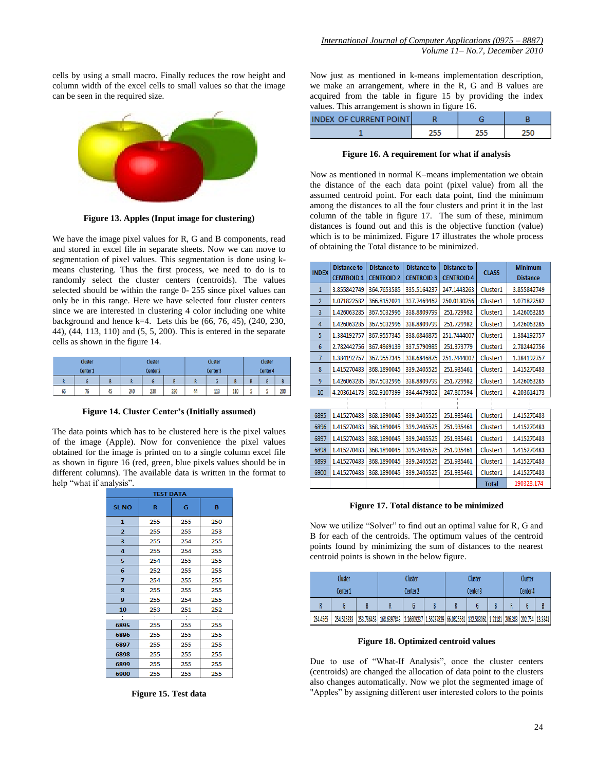cells by using a small macro. Finally reduces the row height and column width of the excel cells to small values so that the image can be seen in the required size.



**Figure 13. Apples (Input image for clustering)**

We have the image pixel values for R, G and B components, read and stored in excel file in separate sheets. Now we can move to segmentation of pixel values. This segmentation is done using kmeans clustering. Thus the first process, we need to do is to randomly select the cluster centers (centroids). The values selected should be within the range 0- 255 since pixel values can only be in this range. Here we have selected four cluster centers since we are interested in clustering 4 color including one white background and hence k=4. Lets this be  $(66, 76, 45)$ ,  $(240, 230)$ , 44), (44, 113, 110) and (5, 5, 200). This is entered in the separate cells as shown in the figure 14.

|    | <b>Cluster</b><br>Center 1 |    |     | <b>Cluster</b><br>Center <sub>2</sub> |     | <b>Cluster</b><br>Center 3 |     | <b>Cluster</b><br>Center 4 |  |  |     |
|----|----------------------------|----|-----|---------------------------------------|-----|----------------------------|-----|----------------------------|--|--|-----|
|    |                            |    |     |                                       |     |                            |     |                            |  |  | Ð   |
| 66 | 76                         | 45 | 240 | 230                                   | 230 | 44                         | 113 | 110                        |  |  | 200 |

**Figure 14. Cluster Center's (Initially assumed)**

The data points which has to be clustered here is the pixel values of the image (Apple). Now for convenience the pixel values obtained for the image is printed on to a single column excel file as shown in figure 16 (red, green, blue pixels values should be in different columns). The available data is written in the format to help "what if analysis".

|             | <b>TEST DATA</b>        |     |     |  |  |  |  |  |
|-------------|-------------------------|-----|-----|--|--|--|--|--|
| <b>SLNO</b> | $\overline{\mathbf{R}}$ | G   | B   |  |  |  |  |  |
| 1           | 255                     | 255 | 250 |  |  |  |  |  |
| 2           | 255                     | 255 | 253 |  |  |  |  |  |
| з           | 255                     | 254 | 255 |  |  |  |  |  |
| 4           | 255                     | 254 | 255 |  |  |  |  |  |
| 5           | 254                     | 255 | 255 |  |  |  |  |  |
| 6           | 252                     | 255 | 255 |  |  |  |  |  |
| 7           | 254                     | 255 | 255 |  |  |  |  |  |
| 8           | 255                     | 255 | 255 |  |  |  |  |  |
| 9           | 255                     | 254 | 255 |  |  |  |  |  |
| 10          | 253                     | 251 | 252 |  |  |  |  |  |
|             | ٠                       |     | ٠   |  |  |  |  |  |
| 6895        | 255                     | 255 | 255 |  |  |  |  |  |
| 6896        | 255                     | 255 | 255 |  |  |  |  |  |
| 6897        | 255                     | 255 | 255 |  |  |  |  |  |
| 6898        | 255                     | 255 | 255 |  |  |  |  |  |
| 6899        | 255                     | 255 | 255 |  |  |  |  |  |
| 6900        | 255                     | 255 | 255 |  |  |  |  |  |

**Figure 15. Test data**

Now just as mentioned in k-means implementation description, we make an arrangement, where in the R, G and B values are acquired from the table in figure 15 by providing the index values. This arrangement is shown in figure 16.

| <b>INDEX OF CURRENT POINT!</b> |  |  |
|--------------------------------|--|--|
|                                |  |  |

#### **Figure 16. A requirement for what if analysis**

Now as mentioned in normal K–means implementation we obtain the distance of the each data point (pixel value) from all the assumed centroid point. For each data point, find the minimum among the distances to all the four clusters and print it in the last column of the table in figure 17. The sum of these, minimum distances is found out and this is the objective function (value) which is to be minimized. Figure 17 illustrates the whole process of obtaining the Total distance to be minimized.

| <b>INDEX</b>   | <b>Distance to</b><br><b>CENTROID 1</b> | <b>Distance to</b><br><b>CENTROID 2</b> | <b>Distance to</b><br><b>CENTROID 3</b> | <b>Distance to</b><br><b>CENTROID 4</b> | <b>CLASS</b> | <b>Minimum</b><br><b>Distance</b> |
|----------------|-----------------------------------------|-----------------------------------------|-----------------------------------------|-----------------------------------------|--------------|-----------------------------------|
| $\mathbf{1}$   | 3.855842749                             | 364.7653585                             | 335.5164237                             | 247.1443263                             | Cluster1     | 3.855842749                       |
| $\overline{2}$ | 1.071822582                             | 366.8152021                             | 337.7469462                             | 250.0180256                             | Cluster1     | 1.071822582                       |
| 3              | 1.426063285                             | 367.5032996                             | 338.8809799                             | 251.729982                              | Cluster1     | 1.426063285                       |
| 4              | 1.426063285                             | 367.5032996                             | 338.8809799                             | 251.729982                              | Cluster1     | 1.426063285                       |
| 5              | 1.384192757                             | 367.9557345                             | 338.6846875                             | 251.7444007                             | Cluster1     | 1.384192757                       |
| 6              | 2.782442756                             | 367.4969139                             | 337.5790985                             | 251.373779                              | Cluster1     | 2.782442756                       |
| 7              | 1.384192757                             | 367.9557345                             | 338.6846875                             | 251.7444007                             | Cluster1     | 1.384192757                       |
| 8              | 1.415270483                             | 368.1890045                             | 339.2405525                             | 251.935461                              | Cluster1     | 1.415270483                       |
| 9              | 1.426063285                             | 367.5032996                             | 338.8809799                             | 251.729982                              | Cluster1     | 1.426063285                       |
| 10             | 4.203614173                             | 362,9107399                             | 334.4479302                             | 247.867594                              | Cluster1     | 4.203614173                       |
|                |                                         |                                         |                                         |                                         |              |                                   |
| 6895           | 1.415270483                             | 368.1890045                             | 339.2405525                             | 251.935461                              | Cluster1     | 1.415270483                       |
| 6896           | 1.415270483                             | 368.1890045                             | 339.2405525                             | 251.935461                              | Cluster1     | 1.415270483                       |
| 6897           | 1.415270483                             | 368.1890045                             | 339.2405525                             | 251.935461                              | Cluster1     | 1.415270483                       |
| 6898           | 1.415270483                             | 368.1890045                             | 339.2405525                             | 251.935461                              | Cluster1     | 1.415270483                       |
| 6899           | 1.415270483                             | 368.1890045                             | 339.2405525                             | 251.935461                              | Cluster1     | 1.415270483                       |
| 6900           | 1.415270483                             | 368.1890045                             | 339.2405525                             | 251.935461                              | Cluster1     | 1.415270483                       |
|                |                                         |                                         |                                         |                                         | <b>Total</b> | 190328.174                        |

**Figure 17. Total distance to be minimized**

Now we utilize "Solver" to find out an optimal value for R, G and B for each of the centroids. The optimum values of the centroid points found by minimizing the sum of distances to the nearest centroid points is shown in the below figure.

| Cluster  |  |  | Cluster                                                                                                                           |  |  | Cluster  |  |  | Cluster  |  |  |
|----------|--|--|-----------------------------------------------------------------------------------------------------------------------------------|--|--|----------|--|--|----------|--|--|
| Center 1 |  |  | Center 2                                                                                                                          |  |  | Center 3 |  |  | Center 4 |  |  |
|          |  |  |                                                                                                                                   |  |  |          |  |  |          |  |  |
| 254,4565 |  |  | 254.515333   253.786453   168.6397843   2.26609237   1.56237829   66.0825561   132.583061   1.21181   206.383   202.754   13.3841 |  |  |          |  |  |          |  |  |

#### **Figure 18. Optimized centroid values**

Due to use of "What-If Analysis", once the cluster centers (centroids) are changed the allocation of data point to the clusters also changes automatically. Now we plot the segmented image of "Apples" by assigning different user interested colors to the points